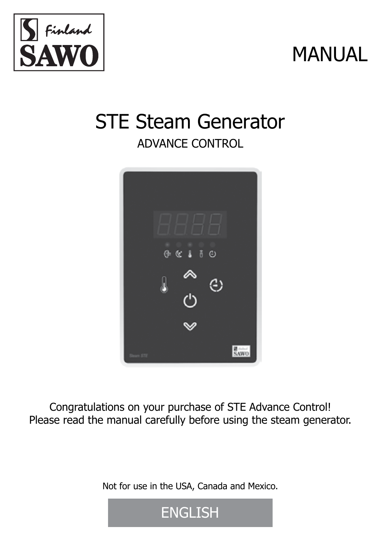

# MANUAL

## STE Steam Generator ADVANCE CONTROL



Congratulations on your purchase of STE Advance Control! Please read the manual carefully before using the steam generator.

Not for use in the USA, Canada and Mexico.

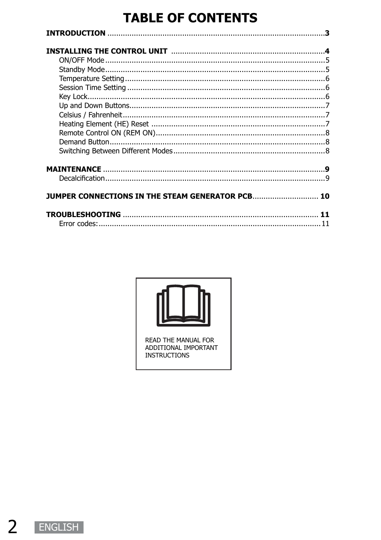### **TABLE OF CONTENTS**

| JUMPER CONNECTIONS IN THE STEAM GENERATOR PCB 10 |  |
|--------------------------------------------------|--|
|                                                  |  |
|                                                  |  |

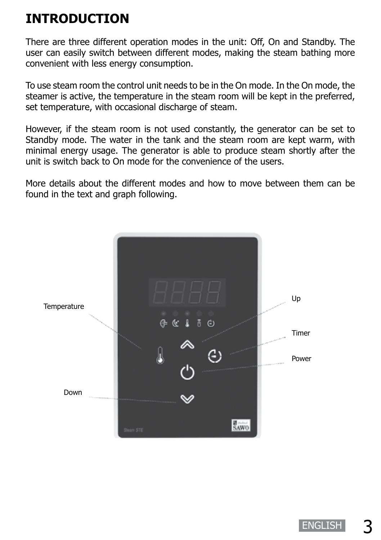### **INTRODUCTION**

There are three different operation modes in the unit: Off, On and Standby. The user can easily switch between different modes, making the steam bathing more convenient with less energy consumption.

To use steam room the control unit needs to be in the On mode. In the On mode, the steamer is active, the temperature in the steam room will be kept in the preferred, set temperature, with occasional discharge of steam.

However, if the steam room is not used constantly, the generator can be set to Standby mode. The water in the tank and the steam room are kept warm, with minimal energy usage. The generator is able to produce steam shortly after the unit is switch back to On mode for the convenience of the users.

More details about the different modes and how to move between them can be found in the text and graph following.

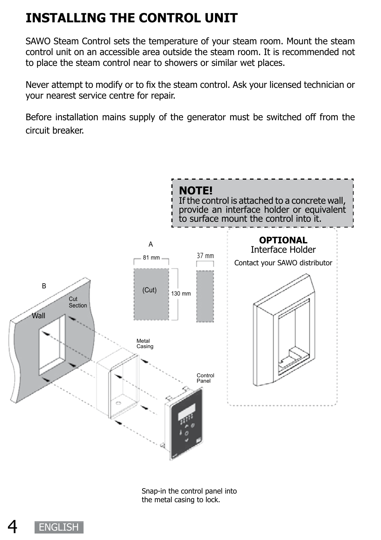### **INSTALLING THE CONTROL UNIT**

SAWO Steam Control sets the temperature of your steam room. Mount the steam control unit on an accessible area outside the steam room. It is recommended not to place the steam control near to showers or similar wet places.

Never attempt to modify or to fix the steam control. Ask your licensed technician or your nearest service centre for repair.

Before installation mains supply of the generator must be switched off from the circuit breaker.



Snap-in the control panel into the metal casing to lock.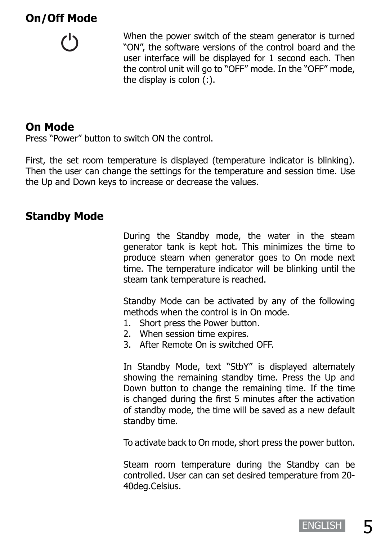### **On/Off Mode**



When the power switch of the steam generator is turned "ON", the software versions of the control board and the user interface will be displayed for 1 second each. Then the control unit will go to "OFF" mode. In the "OFF" mode, the display is colon  $(i)$ .

#### **On Mode**

Press "Power" button to switch ON the control.

First, the set room temperature is displayed (temperature indicator is blinking). Then the user can change the settings for the temperature and session time. Use the Up and Down keys to increase or decrease the values.

### **Standby Mode**

During the Standby mode, the water in the steam generator tank is kept hot. This minimizes the time to produce steam when generator goes to On mode next time. The temperature indicator will be blinking until the steam tank temperature is reached.

Standby Mode can be activated by any of the following methods when the control is in On mode.

- 1. Short press the Power button.
- 2. When session time expires.
- 3. After Remote On is switched OFF.

In Standby Mode, text "StbY" is displayed alternately showing the remaining standby time. Press the Up and Down button to change the remaining time. If the time is changed during the first 5 minutes after the activation of standby mode, the time will be saved as a new default standby time.

To activate back to On mode, short press the power button.

Steam room temperature during the Standby can be controlled. User can can set desired temperature from 20- 40deg.Celsius.

**ENGLISH**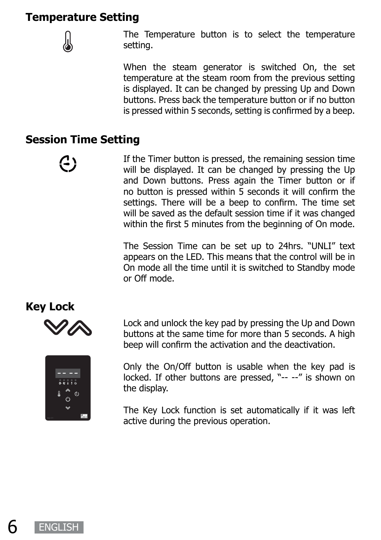#### **Temperature Setting**



The Temperature button is to select the temperature setting.

When the steam generator is switched On, the set temperature at the steam room from the previous setting is displayed. It can be changed by pressing Up and Down buttons. Press back the temperature button or if no button is pressed within 5 seconds, setting is confirmed by a beep.

#### **Session Time Setting**

(3

If the Timer button is pressed, the remaining session time will be displayed. It can be changed by pressing the Up and Down buttons. Press again the Timer button or if no button is pressed within 5 seconds it will confirm the settings. There will be a beep to confirm. The time set will be saved as the default session time if it was changed within the first 5 minutes from the beginning of On mode.

The Session Time can be set up to 24hrs. "UNLI" text appears on the LED. This means that the control will be in On mode all the time until it is switched to Standby mode or Off mode.

#### **Key Lock**



Lock and unlock the key pad by pressing the Up and Down buttons at the same time for more than 5 seconds. A high beep will confirm the activation and the deactivation.



Only the On/Off button is usable when the key pad is locked. If other buttons are pressed, "-- --" is shown on the display.

The Key Lock function is set automatically if it was left active during the previous operation.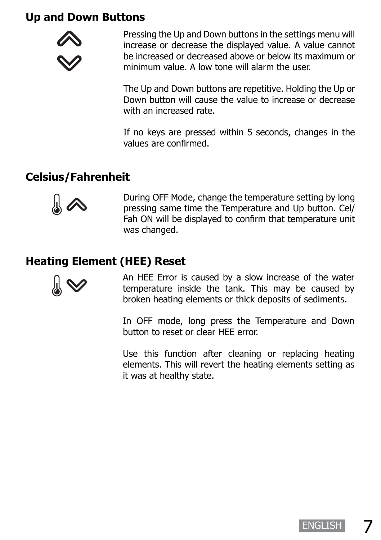#### **Up and Down Buttons**



Pressing the Up and Down buttons in the settings menu will increase or decrease the displayed value. A value cannot be increased or decreased above or below its maximum or minimum value. A low tone will alarm the user.

The Up and Down buttons are repetitive. Holding the Up or Down button will cause the value to increase or decrease with an increased rate

If no keys are pressed within 5 seconds, changes in the values are confirmed.

### **Celsius/Fahrenheit**



During OFF Mode, change the temperature setting by long pressing same time the Temperature and Up button. Cel/ Fah ON will be displayed to confirm that temperature unit was changed.

### **Heating Element (HEE) Reset**



An HEE Error is caused by a slow increase of the water temperature inside the tank. This may be caused by broken heating elements or thick deposits of sediments.

In OFF mode, long press the Temperature and Down button to reset or clear HEE error.

Use this function after cleaning or replacing heating elements. This will revert the heating elements setting as it was at healthy state.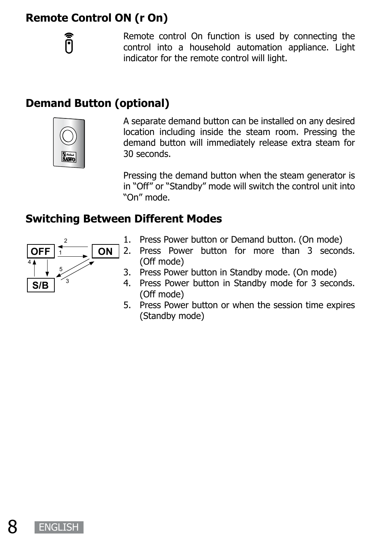### **Remote Control ON (r On)**

Õ

Remote control On function is used by connecting the control into a household automation appliance. Light indicator for the remote control will light.

### **Demand Button (optional)**



A separate demand button can be installed on any desired location including inside the steam room. Pressing the demand button will immediately release extra steam for 30 seconds.

Pressing the demand button when the steam generator is in "Off" or "Standby" mode will switch the control unit into "On" mode.

#### **Switching Between Different Modes**



- 1. Press Power button or Demand button. (On mode)
- 2. Press Power button for more than 3 seconds. (Off mode)
- 3. Press Power button in Standby mode. (On mode)
- 4. Press Power button in Standby mode for 3 seconds. (Off mode)
- 5. Press Power button or when the session time expires (Standby mode)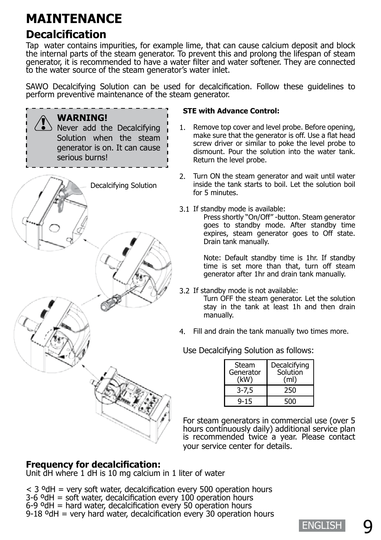### **MAINTENANCE**

### **Decalcification**

Tap water contains impurities, for example lime, that can cause calcium deposit and block the internal parts of the steam generator. To prevent this and prolong the lifespan of steam generator, it is recommended to have a water filter and water softener. They are connected to the water source of the steam generator's water inlet.

SAWO Decalcifying Solution can be used for decalcification. Follow these guidelines to perform preventive maintenance of the steam generator.



#### **STE with Advance Control:**

- Remove top cover and level probe. Before opening, make sure that the generator is off. Use a flat head screw driver or similar to poke the level probe to dismount. Pour the solution into the water tank. Return the level probe. 1.
- Turn ON the steam generator and wait until water 2. inside the tank starts to boil. Let the solution boil for 5 minutes.
- 3.1 If standby mode is available:

Press shortly "On/Off" -button. Steam generator goes to standby mode. After standby time expires, steam generator goes to Off state. Drain tank manually.

Note: Default standby time is 1hr. If standby time is set more than that, turn off steam generator after 1hr and drain tank manually.

3.2 If standby mode is not available:

Turn OFF the steam generator. Let the solution stay in the tank at least 1h and then drain manually.

Fill and drain the tank manually two times more. 4.

#### Use Decalcifying Solution as follows:

| Steam<br>Generator<br>(kW) | Decalcifying<br>Solution<br>(ml) |
|----------------------------|----------------------------------|
| $3 - 7.5$                  | 250                              |
| $9 - 15$                   | 500                              |

For steam generators in commercial use (over 5 hours continuously daily) additional service plan is recommended twice a year. Please contact your service center for details.

#### **Frequency for decalcification:**

Unit dH where 1 dH is 10 mg calcium in 1 liter of water

 $<$  3 <sup>o</sup>dH = very soft water, decalcification every 500 operation hours  $3-6$  °dH = soft water, decalcification every 100 operation hours  $6-9$  °dH = hard water, decalcification every 50 operation hours  $9-18$  °dH = very hard water, decalcification every 30 operation hours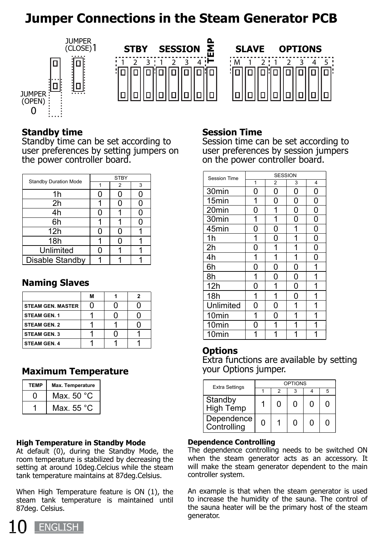### **Jumper Connections in the Steam Generator PCB**



#### **Standby time**

Standby time can be set according to user preferences by setting jumpers on the power controller board.

|                              | <b>STBY</b> |                |   | Session Time      |        | <b>SESSION</b> |  |  |
|------------------------------|-------------|----------------|---|-------------------|--------|----------------|--|--|
| <b>Standby Duration Mode</b> |             | $\overline{2}$ | 3 |                   |        | 2              |  |  |
| 1h                           |             |                | 0 | 30 <sub>min</sub> | 0      |                |  |  |
| 2h                           |             |                | Ω | 15 <sub>min</sub> |        |                |  |  |
| 4h                           |             |                | ი | 20 <sub>min</sub> | 0      |                |  |  |
| 6h                           |             |                | Ω | 30 <sub>min</sub> |        |                |  |  |
| 12h                          |             |                |   | 45 <sub>min</sub> | 0      | 0              |  |  |
| 18h                          |             |                |   | 1h                |        |                |  |  |
| Unlimited                    |             |                |   | 2h                | 0      |                |  |  |
| Disable Standby              |             |                |   | 4h                |        |                |  |  |
|                              |             |                |   | $\sim$            | $\sim$ | $\sim$         |  |  |

#### **Naming Slaves**

|                          | м |  |
|--------------------------|---|--|
| <b>STEAM GEN. MASTER</b> |   |  |
| <b>STEAM GEN. 1</b>      |   |  |
| <b>STEAM GEN. 2</b>      |   |  |
| <b>STEAM GEN. 3</b>      |   |  |
| <b>STEAM GEN. 4</b>      |   |  |

#### **Maximum Temperature**

| <b>TFMP</b> | Max. Temperature |  |  |  |
|-------------|------------------|--|--|--|
|             | Max. 50 °C       |  |  |  |
|             | Max. $55 °C$     |  |  |  |

#### **High Temperature in Standby Mode**

At default (0), during the Standby Mode, the room temperature is stabilized by decreasing the setting at around 10deg.Celcius while the steam tank temperature maintains at 87deg.Celsius.

When High Temperature feature is ON (1), the steam tank temperature is maintained until 87deg. Celsius.

#### **Session Time**

Session time can be set according to user preferences by session jumpers on the power controller board.

| Session Time      | <b>SESSION</b> |                |   |                         |  |  |
|-------------------|----------------|----------------|---|-------------------------|--|--|
|                   | $\overline{1}$ | $\overline{c}$ | 3 | $\overline{\mathbf{4}}$ |  |  |
| 30min             | 0              | 0              | 0 | 0                       |  |  |
| 15min             | 1              | 0              | 0 | 0                       |  |  |
| 20min             | 0              | 1              | 0 | $\overline{0}$          |  |  |
| 30 <sub>min</sub> | 1              | 1              | 0 | 0                       |  |  |
| 45min             | 0              | 0              | 1 | 0                       |  |  |
| 1 <sub>h</sub>    | 1              | 0              | 1 | 0                       |  |  |
| $\overline{2}h$   | 0              | 1              | 1 | 0                       |  |  |
| 4h                | 1              | 1              | 1 | 0                       |  |  |
| 6h                | 0              | 0              | 0 | 1                       |  |  |
| 8h                | 1              | 0              | 0 | 1                       |  |  |
| 12h               | 0              | 1              | 0 | 1                       |  |  |
| 18h               | 1              | 1              | O | 1                       |  |  |
| Unlimited         | 0              | 0              | 1 | 1                       |  |  |
| 10min             | 1              | 0              | 1 | 1                       |  |  |
| 10min             | 0              | 1              | 1 | 1                       |  |  |
| 10 <sub>min</sub> | 1              | 1              | 1 | 1                       |  |  |

#### **Options**

Extra functions are available by setting your Options jumper.

| <b>Extra Settings</b>     | OPTIONS |   |   |              |   |  |
|---------------------------|---------|---|---|--------------|---|--|
|                           |         |   |   |              | 5 |  |
| Standby<br>High Temp      |         | O | ŋ | $\mathbf{I}$ | 0 |  |
| Dependence<br>Controlling | O       |   | ŋ | Π            | n |  |

#### **Dependence Controlling**

The dependence controlling needs to be switched ON when the steam generator acts as an accessory. It will make the steam generator dependent to the main controller system.

An example is that when the steam generator is used to increase the humidity of the sauna. The control of the sauna heater will be the primary host of the steam generator.

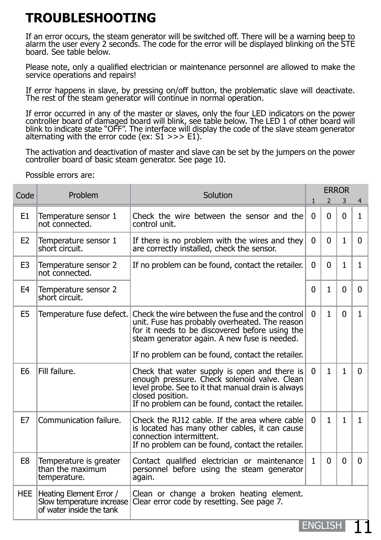### **TROUBLESHOOTING**

If an error occurs, the steam generator will be switched off. There will be a warning beep to alarm the user every 2 seconds. The code for the error will be displayed blinking on the STE board. See table below.

Please note, only a qualified electrician or maintenance personnel are allowed to make the service operations and repairs!

If error happens in slave, by pressing on/off button, the problematic slave will deactivate. The rest of the steam generator will continue in normal operation.

If error occurred in any of the master or slaves, only the four LED indicators on the power controller board of damaged board will blink, see table below. The LED 1 of other board will blink to indicate state "OFF". The interface will display the code of the slave steam generator alternating with the error code (ex: S1 >>> E1).

The activation and deactivation of master and slave can be set by the jumpers on the power controller board of basic steam generator. See page 10.

Possible errors are:

| Code           | Problem                                                                          | Solution                                                                                                                                                                                                                                                 | <b>ERROR</b> |              |              |              |  |
|----------------|----------------------------------------------------------------------------------|----------------------------------------------------------------------------------------------------------------------------------------------------------------------------------------------------------------------------------------------------------|--------------|--------------|--------------|--------------|--|
|                |                                                                                  |                                                                                                                                                                                                                                                          |              | 2            | 3            | 4            |  |
| E <sub>1</sub> | Temperature sensor 1<br>not connected.                                           | Check the wire between the sensor and the<br>control unit.                                                                                                                                                                                               | 0            | $\Omega$     | $\mathbf{0}$ | $\mathbf{1}$ |  |
| E <sub>2</sub> | Temperature sensor 1<br>short circuit.                                           | If there is no problem with the wires and they<br>are correctly installed, check the sensor.                                                                                                                                                             | 0            | 0            | $\mathbf{1}$ | 0            |  |
| E <sub>3</sub> | Temperature sensor 2<br>not connected.                                           | If no problem can be found, contact the retailer.                                                                                                                                                                                                        | 0            | 0            | $\mathbf{1}$ | $\mathbf{1}$ |  |
| E4             | Temperature sensor 2<br>short circuit.                                           |                                                                                                                                                                                                                                                          | 0            | $\mathbf{1}$ | 0            | $\Omega$     |  |
| E <sub>5</sub> | Temperature fuse defect.                                                         | Check the wire between the fuse and the control<br>unit. Fuse has probably overheated. The reason<br>for it needs to be discovered before using the<br>steam generator again. A new fuse is needed.<br>If no problem can be found, contact the retailer. | 0            | $\mathbf{1}$ | $\Omega$     | 1            |  |
| E <sub>6</sub> | Fill failure.                                                                    | Check that water supply is open and there is<br>enough pressure. Check solenoid valve. Clean<br>level probe. See to it that manual drain is always<br>closed position.<br>If no problem can be found, contact the retailer.                              | 0            | $\mathbf{1}$ | $\mathbf{1}$ | 0            |  |
| E7             | Communication failure.                                                           | Check the RJ12 cable. If the area where cable<br>is located has many other cables, it can cause<br>connection intermittent.<br>If no problem can be found, contact the retailer.                                                                         | 0            | $\mathbf{1}$ | $\mathbf{1}$ | $\mathbf{1}$ |  |
| E8             | Temperature is greater<br>than the maximum<br>temperature.                       | Contact qualified electrician or maintenance<br>personnel before using the steam generator<br>again.                                                                                                                                                     | $\mathbf{1}$ | $\Omega$     | 0            | 0            |  |
| <b>HEE</b>     | Heating Element Error /<br>Slow temperature increase<br>of water inside the tank | Clean or change a broken heating element.<br>Clear error code by resetting. See page 7.                                                                                                                                                                  |              |              |              |              |  |

ENGLISH